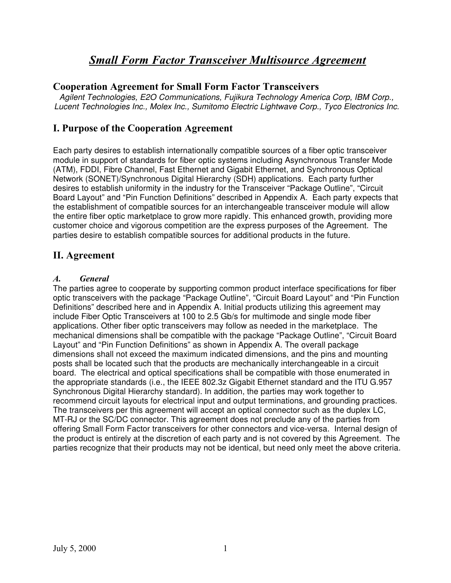#### **Cooperation Agreement for Small Form Factor Transceivers**

*Agilent Technologies, E2O Communications, Fujikura Technology America Corp, IBM Corp., Lucent Technologies Inc., Molex Inc., Sumitomo Electric Lightwave Corp., Tyco Electronics Inc.*

#### **I. Purpose of the Cooperation Agreement**

Each party desires to establish internationally compatible sources of a fiber optic transceiver module in support of standards for fiber optic systems including Asynchronous Transfer Mode (ATM), FDDI, Fibre Channel, Fast Ethernet and Gigabit Ethernet, and Synchronous Optical Network (SONET)/Synchronous Digital Hierarchy (SDH) applications. Each party further desires to establish uniformity in the industry for the Transceiver "Package Outline", "Circuit Board Layout" and "Pin Function Definitions" described in Appendix A. Each party expects that the establishment of compatible sources for an interchangeable transceiver module will allow the entire fiber optic marketplace to grow more rapidly. This enhanced growth, providing more customer choice and vigorous competition are the express purposes of the Agreement. The parties desire to establish compatible sources for additional products in the future.

#### **II. Agreement**

#### *A. General*

The parties agree to cooperate by supporting common product interface specifications for fiber optic transceivers with the package "Package Outline", "Circuit Board Layout" and "Pin Function Definitions" described here and in Appendix A. Initial products utilizing this agreement may include Fiber Optic Transceivers at 100 to 2.5 Gb/s for multimode and single mode fiber applications. Other fiber optic transceivers may follow as needed in the marketplace. The mechanical dimensions shall be compatible with the package "Package Outline", "Circuit Board Layout" and "Pin Function Definitions" as shown in Appendix A. The overall package dimensions shall not exceed the maximum indicated dimensions, and the pins and mounting posts shall be located such that the products are mechanically interchangeable in a circuit board. The electrical and optical specifications shall be compatible with those enumerated in the appropriate standards (i.e., the IEEE 802.3z Gigabit Ethernet standard and the ITU G.957 Synchronous Digital Hierarchy standard). In addition, the parties may work together to recommend circuit layouts for electrical input and output terminations, and grounding practices. The transceivers per this agreement will accept an optical connector such as the duplex LC, MT-RJ or the SC/DC connector. This agreement does not preclude any of the parties from offering Small Form Factor transceivers for other connectors and vice-versa. Internal design of the product is entirely at the discretion of each party and is not covered by this Agreement. The parties recognize that their products may not be identical, but need only meet the above criteria.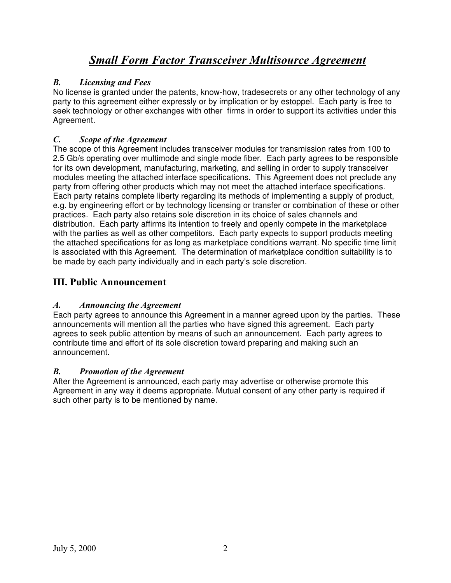#### *B. Licensing and Fees*

No license is granted under the patents, know-how, tradesecrets or any other technology of any party to this agreement either expressly or by implication or by estoppel. Each party is free to seek technology or other exchanges with other firms in order to support its activities under this Agreement.

#### *C. Scope of the Agreement*

The scope of this Agreement includes transceiver modules for transmission rates from 100 to 2.5 Gb/s operating over multimode and single mode fiber. Each party agrees to be responsible for its own development, manufacturing, marketing, and selling in order to supply transceiver modules meeting the attached interface specifications. This Agreement does not preclude any party from offering other products which may not meet the attached interface specifications. Each party retains complete liberty regarding its methods of implementing a supply of product, e.g. by engineering effort or by technology licensing or transfer or combination of these or other practices. Each party also retains sole discretion in its choice of sales channels and distribution. Each party affirms its intention to freely and openly compete in the marketplace with the parties as well as other competitors. Each party expects to support products meeting the attached specifications for as long as marketplace conditions warrant. No specific time limit is associated with this Agreement. The determination of marketplace condition suitability is to be made by each party individually and in each party's sole discretion.

#### **III. Public Announcement**

#### *A. Announcing the Agreement*

Each party agrees to announce this Agreement in a manner agreed upon by the parties. These announcements will mention all the parties who have signed this agreement. Each party agrees to seek public attention by means of such an announcement. Each party agrees to contribute time and effort of its sole discretion toward preparing and making such an announcement.

#### *B. Promotion of the Agreement*

After the Agreement is announced, each party may advertise or otherwise promote this Agreement in any way it deems appropriate. Mutual consent of any other party is required if such other party is to be mentioned by name.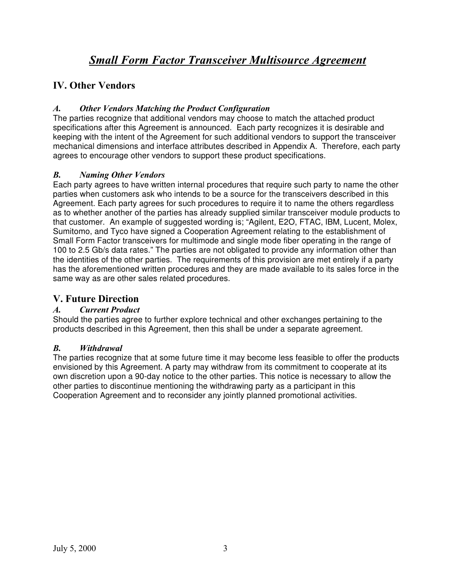## **IV. Other Vendors**

#### *A. Other Vendors Matching the Product Configuration*

The parties recognize that additional vendors may choose to match the attached product specifications after this Agreement is announced. Each party recognizes it is desirable and keeping with the intent of the Agreement for such additional vendors to support the transceiver mechanical dimensions and interface attributes described in Appendix A. Therefore, each party agrees to encourage other vendors to support these product specifications.

#### *B. Naming Other Vendors*

Each party agrees to have written internal procedures that require such party to name the other parties when customers ask who intends to be a source for the transceivers described in this Agreement. Each party agrees for such procedures to require it to name the others regardless as to whether another of the parties has already supplied similar transceiver module products to that customer. An example of suggested wording is; "Agilent, E2O, FTAC, IBM, Lucent, Molex, Sumitomo, and Tyco have signed a Cooperation Agreement relating to the establishment of Small Form Factor transceivers for multimode and single mode fiber operating in the range of 100 to 2.5 Gb/s data rates." The parties are not obligated to provide any information other than the identities of the other parties. The requirements of this provision are met entirely if a party has the aforementioned written procedures and they are made available to its sales force in the same way as are other sales related procedures.

#### **V. Future Direction**

#### *A. Current Product*

Should the parties agree to further explore technical and other exchanges pertaining to the products described in this Agreement, then this shall be under a separate agreement.

#### *B. Withdrawal*

The parties recognize that at some future time it may become less feasible to offer the products envisioned by this Agreement. A party may withdraw from its commitment to cooperate at its own discretion upon a 90-day notice to the other parties. This notice is necessary to allow the other parties to discontinue mentioning the withdrawing party as a participant in this Cooperation Agreement and to reconsider any jointly planned promotional activities.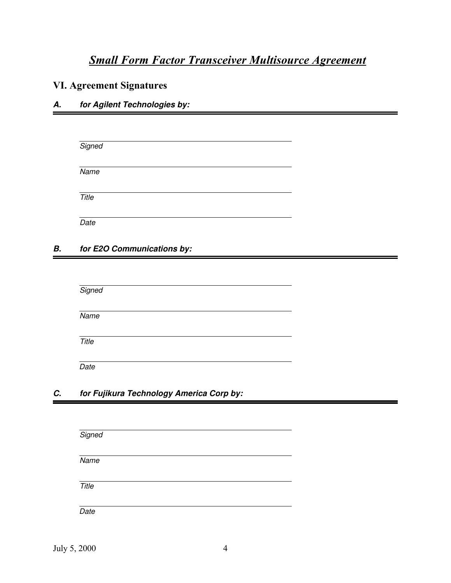## **VI. Agreement Signatures**

#### *A. for Agilent Technologies by:*

| Signed |  |  |  |
|--------|--|--|--|
| Name   |  |  |  |
| Title  |  |  |  |
| Date   |  |  |  |

#### *B. for E2O Communications by:*

*Signed*

*Name* 

*Title*

*Date*

#### *C. for Fujikura Technology America Corp by:*

| Signed |  |  |  |
|--------|--|--|--|
| Name   |  |  |  |
| Title  |  |  |  |
| Date   |  |  |  |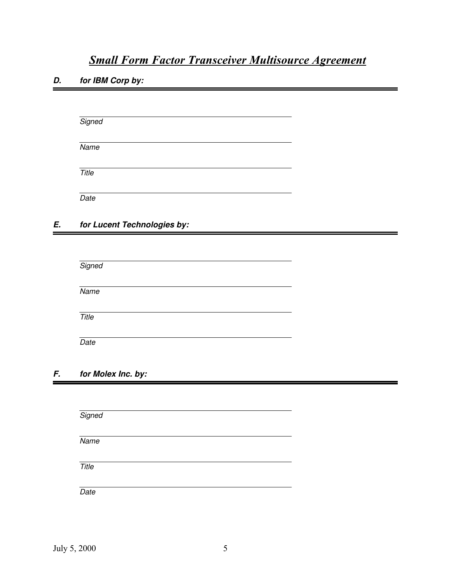*D. for IBM Corp by:*

| Signed |  |  |  |
|--------|--|--|--|
| Name   |  |  |  |
| Title  |  |  |  |
| Date   |  |  |  |

#### *E. for Lucent Technologies by:*

| Signed |  |  |  |
|--------|--|--|--|
| Name   |  |  |  |
| Title  |  |  |  |
| Date   |  |  |  |

#### *F. for Molex Inc. by:*

*Signed Name Title Date*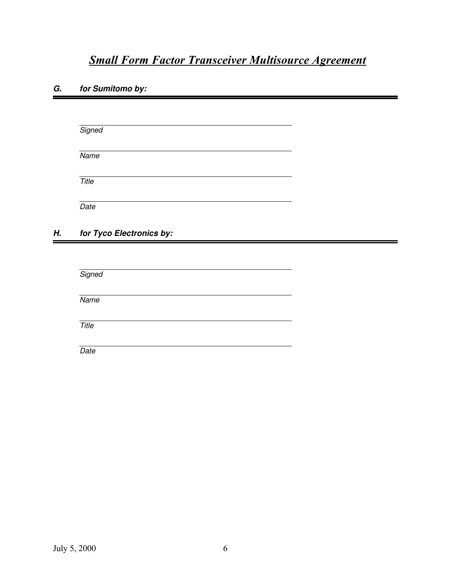#### *G. for Sumitomo by:*

*Signed Name Title Date*

#### *H. for Tyco Electronics by:*

| Signed       |  |  |  |
|--------------|--|--|--|
|              |  |  |  |
| Name         |  |  |  |
|              |  |  |  |
| <b>Title</b> |  |  |  |
|              |  |  |  |
| Date         |  |  |  |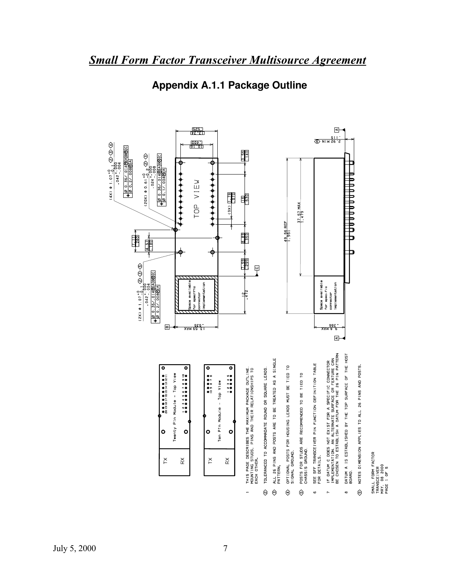

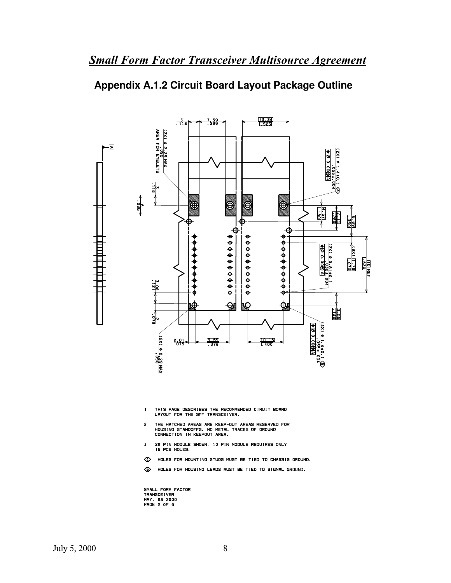## **Appendix A.1.2 Circuit Board Layout Package Outline**



- THIS PAGE DESCRIBES THE RECOMMENDED CIRUIT BOARD<br>LAYOUT FOR THE SFF TRANSCEIVER.  $\pmb{1}$
- THE HATCHED AREAS ARE KEEP-OUT AREAS RESERVED FOR<br>HOUSING STANDOFFS. NO METAL TRACES OF GROUND<br>CONNECTION IN KEEPOUT AREA.  $\overline{2}$
- 20 PIN MODULE SHOWN. 10 PIN MODULE REQUIRES ONLY 16 PCB HOLES.  $\mathbf 3$
- 4 HOLES FOR MOUNTING STUDS MUST BE TIED TO CHASSIS GROUND.
- **5** HOLES FOR HOUSING LEADS MUST BE TIED TO SIGNAL GROUND.

SMALL FORM FACTOR<br>TRANSCEIVER<br>MAY. 08 2000<br>PAGE 2 OF 5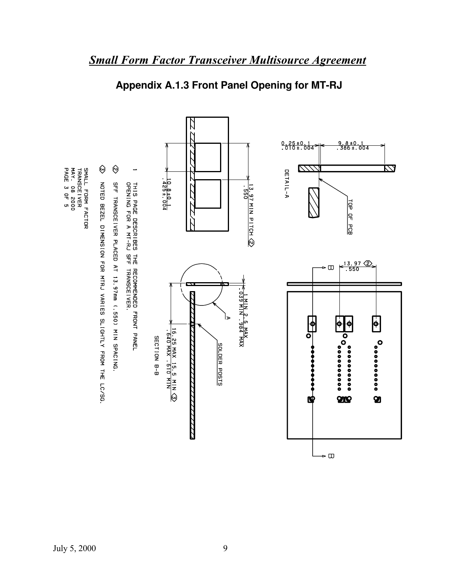

# **Appendix A.1.3 Front Panel Opening for MT-RJ**

*Small Form Factor Transceiver Multisource Agreement*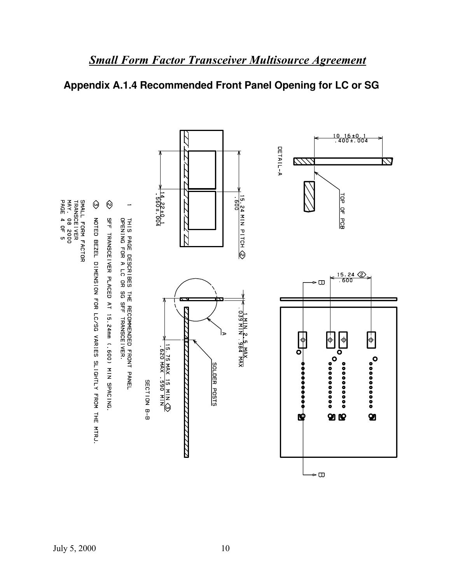## **Appendix A.1.4 Recommended Front Panel Opening for LC or SG**

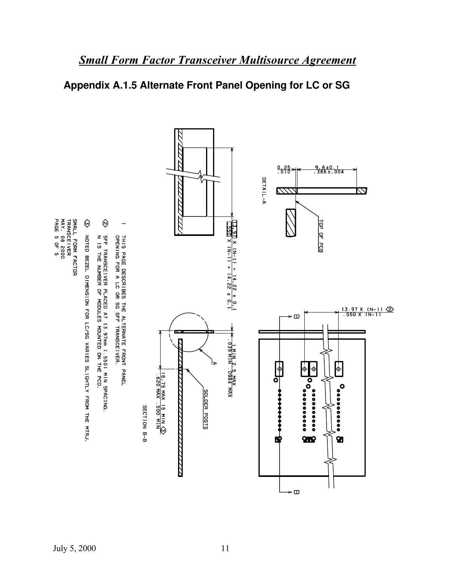## **Appendix A.1.5 Alternate Front Panel Opening for LC or SG**

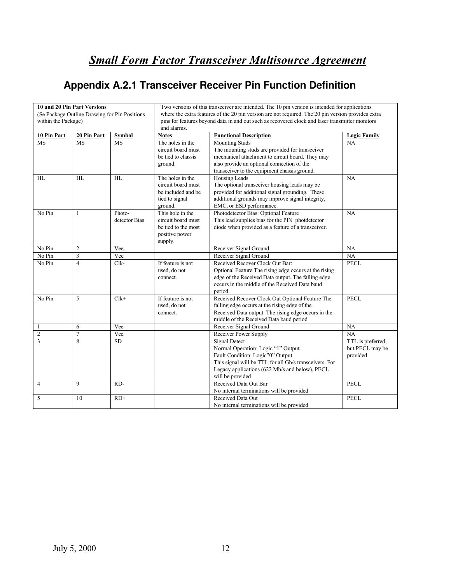# **Appendix A.2.1 Transceiver Receiver Pin Function Definition**

| 10 and 20 Pin Part Versions                    |                |                                                                                                    | Two versions of this transceiver are intended. The 10 pin version is intended for applications |                                                                                                      |                     |  |  |
|------------------------------------------------|----------------|----------------------------------------------------------------------------------------------------|------------------------------------------------------------------------------------------------|------------------------------------------------------------------------------------------------------|---------------------|--|--|
| (Se Package Outline Drawing for Pin Positions) |                | where the extra features of the 20 pin version are not required. The 20 pin version provides extra |                                                                                                |                                                                                                      |                     |  |  |
| within the Package)                            |                | pins for features beyond data in and out such as recovered clock and laser transmitter monitors    |                                                                                                |                                                                                                      |                     |  |  |
|                                                |                |                                                                                                    | and alarms.                                                                                    |                                                                                                      |                     |  |  |
| 10 Pin Part                                    | 20 Pin Part    | <b>Symbol</b>                                                                                      | <b>Functional Description</b><br><b>Notes</b>                                                  |                                                                                                      | <b>Logic Family</b> |  |  |
| <b>MS</b>                                      | <b>MS</b>      | <b>MS</b>                                                                                          | The holes in the                                                                               | <b>Mounting Studs</b>                                                                                | NA                  |  |  |
|                                                |                |                                                                                                    | circuit board must                                                                             | The mounting studs are provided for transceiver                                                      |                     |  |  |
|                                                |                |                                                                                                    | be tied to chassis                                                                             | mechanical attachment to circuit board. They may                                                     |                     |  |  |
|                                                |                |                                                                                                    | ground.                                                                                        | also provide an optional connection of the                                                           |                     |  |  |
|                                                |                |                                                                                                    |                                                                                                | transceiver to the equipment chassis ground.                                                         |                     |  |  |
| HL                                             | HL             | HL                                                                                                 | The holes in the                                                                               | Housing Leads                                                                                        | NA                  |  |  |
|                                                |                |                                                                                                    | circuit board must                                                                             | The optional transceiver housing leads may be                                                        |                     |  |  |
|                                                |                |                                                                                                    | be included and be                                                                             | provided for additional signal grounding. These                                                      |                     |  |  |
|                                                |                |                                                                                                    | tied to signal                                                                                 | additional grounds may improve signal integrity,                                                     |                     |  |  |
|                                                |                |                                                                                                    | ground.                                                                                        | EMC, or ESD performance.                                                                             |                     |  |  |
| No Pin                                         | $\mathbf{1}$   | Photo-                                                                                             | This hole in the                                                                               | Photodetector Bias: Optional Feature                                                                 | NA                  |  |  |
|                                                |                | detector Bias                                                                                      | circuit board must                                                                             | This lead supplies bias for the PIN photdetector                                                     |                     |  |  |
|                                                |                |                                                                                                    | be tied to the most                                                                            | diode when provided as a feature of a transceiver.                                                   |                     |  |  |
|                                                |                |                                                                                                    | positive power                                                                                 |                                                                                                      |                     |  |  |
|                                                |                |                                                                                                    | supply.                                                                                        |                                                                                                      |                     |  |  |
| No Pin                                         | $\overline{2}$ | Vee <sub>r</sub>                                                                                   |                                                                                                | Receiver Signal Ground                                                                               | NA                  |  |  |
| No Pin                                         | 3              | Vee <sub>r</sub>                                                                                   |                                                                                                | Receiver Signal Ground                                                                               | NA                  |  |  |
| No Pin                                         | $\overline{4}$ | $Clk-$                                                                                             | If feature is not                                                                              | Received Recover Clock Out Bar:                                                                      | <b>PECL</b>         |  |  |
|                                                |                |                                                                                                    | used, do not                                                                                   | Optional Feature The rising edge occurs at the rising                                                |                     |  |  |
|                                                |                |                                                                                                    | connect.                                                                                       | edge of the Received Data output. The falling edge                                                   |                     |  |  |
|                                                |                |                                                                                                    |                                                                                                | occurs in the middle of the Received Data baud                                                       |                     |  |  |
|                                                |                |                                                                                                    | If feature is not                                                                              | period.                                                                                              |                     |  |  |
| No Pin                                         | 5              | $Clk+$                                                                                             |                                                                                                | Received Recover Clock Out Optional Feature The                                                      | <b>PECL</b>         |  |  |
|                                                |                |                                                                                                    | used, do not<br>connect.                                                                       | falling edge occurs at the rising edge of the<br>Received Data output. The rising edge occurs in the |                     |  |  |
|                                                |                |                                                                                                    |                                                                                                | middle of the Received Data baud period                                                              |                     |  |  |
| $\mathbf{1}$                                   | 6              | Vee <sub>r</sub>                                                                                   |                                                                                                | Receiver Signal Ground                                                                               | NA                  |  |  |
| $\overline{2}$                                 | $\overline{7}$ | Vec                                                                                                |                                                                                                | Receiver Power Supply                                                                                | NA                  |  |  |
| 3                                              | 8              | <b>SD</b>                                                                                          |                                                                                                | <b>Signal Detect</b>                                                                                 | TTL is preferred,   |  |  |
|                                                |                |                                                                                                    |                                                                                                | Normal Operation: Logic "1" Output                                                                   | but PECL may be     |  |  |
|                                                |                |                                                                                                    |                                                                                                | Fault Condition: Logic"0" Output                                                                     | provided            |  |  |
|                                                |                |                                                                                                    |                                                                                                | This signal will be TTL for all Gb/s transceivers. For                                               |                     |  |  |
|                                                |                |                                                                                                    |                                                                                                | Legacy applications (622 Mb/s and below), PECL                                                       |                     |  |  |
|                                                |                |                                                                                                    |                                                                                                | will be provided                                                                                     |                     |  |  |
| $\overline{4}$                                 | 9              | RD-                                                                                                | Received Data Out Bar<br><b>PECL</b>                                                           |                                                                                                      |                     |  |  |
|                                                |                |                                                                                                    |                                                                                                | No internal terminations will be provided                                                            |                     |  |  |
| 5                                              | 10             | $RD+$                                                                                              |                                                                                                | Received Data Out                                                                                    | <b>PECL</b>         |  |  |
|                                                |                |                                                                                                    |                                                                                                | No internal terminations will be provided                                                            |                     |  |  |